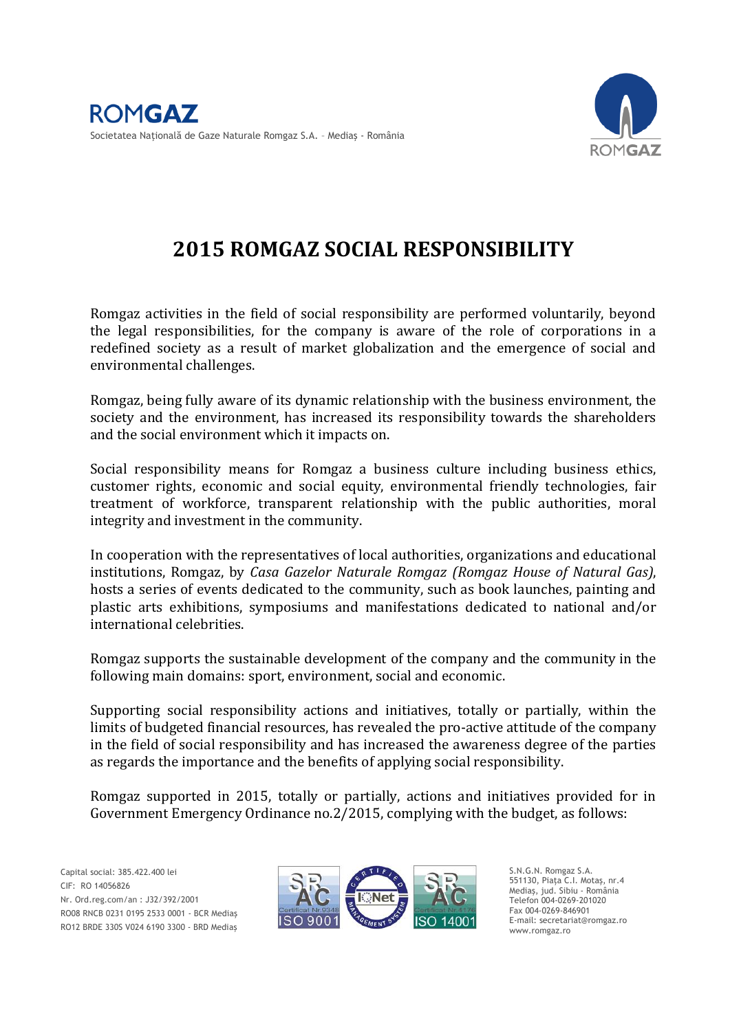

# **2015 ROMGAZ SOCIAL RESPONSIBILITY**

Romgaz activities in the field of social responsibility are performed voluntarily, beyond the legal responsibilities, for the company is aware of the role of corporations in a redefined society as a result of market globalization and the emergence of social and environmental challenges.

Romgaz, being fully aware of its dynamic relationship with the business environment, the society and the environment, has increased its responsibility towards the shareholders and the social environment which it impacts on.

Social responsibility means for Romgaz a business culture including business ethics, customer rights, economic and social equity, environmental friendly technologies, fair treatment of workforce, transparent relationship with the public authorities, moral integrity and investment in the community.

In cooperation with the representatives of local authorities, organizations and educational institutions, Romgaz, by *Casa Gazelor Naturale Romgaz (Romgaz House of Natural Gas)*, hosts a series of events dedicated to the community, such as book launches, painting and plastic arts exhibitions, symposiums and manifestations dedicated to national and/or international celebrities.

Romgaz supports the sustainable development of the company and the community in the following main domains: sport, environment, social and economic.

Supporting social responsibility actions and initiatives, totally or partially, within the limits of budgeted financial resources, has revealed the pro-active attitude of the company in the field of social responsibility and has increased the awareness degree of the parties as regards the importance and the benefits of applying social responsibility.

Romgaz supported in 2015, totally or partially, actions and initiatives provided for in Government Emergency Ordinance no.2/2015, complying with the budget, as follows:

 RO12 BRDE 330S V024 6190 3300 - BRD Mediaş Capital social: 385.422.400 lei CIF: RO 14056826 Nr. Ord.reg.com/an : J32/392/2001 RO08 RNCB 0231 0195 2533 0001 - BCR Mediaş



S.N.G.N. Romgaz S.A. 551130, Piaţa C.I. Motaş, nr.4 Mediaş, jud. Sibiu - România Telefon 004-0269-201020 Fax 004-0269-846901 E-mail: secretariat@romgaz.ro www.romgaz.ro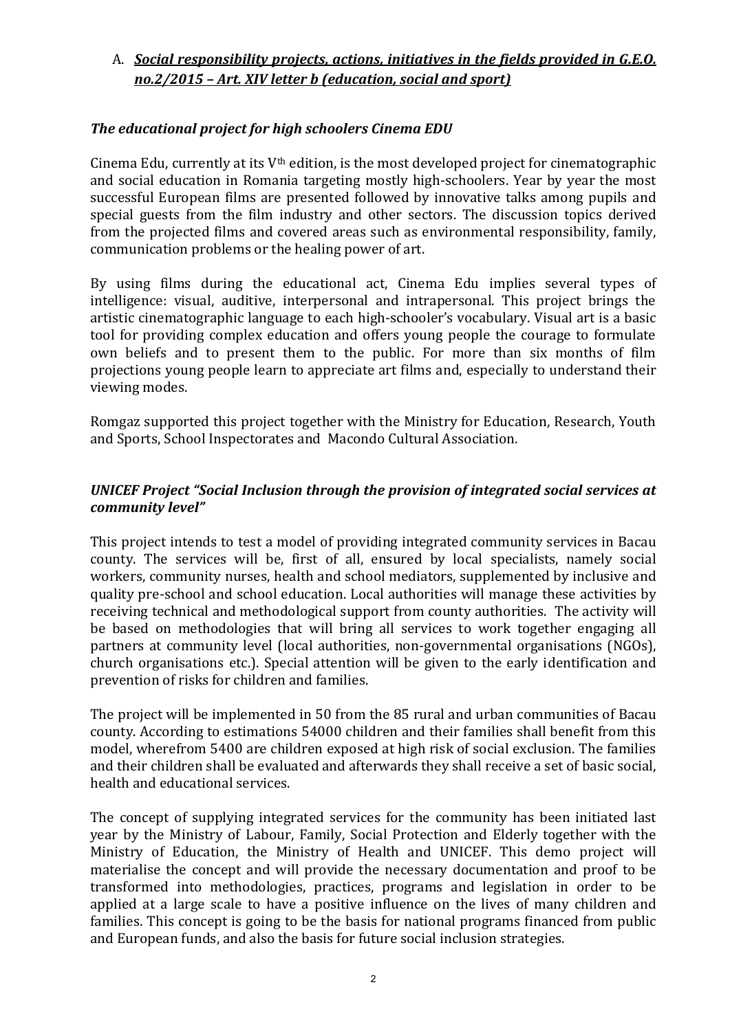# A. *Social responsibility projects, actions, initiatives in the fields provided in G.E.O. no.2/2015 – Art. XIV letter b (education, social and sport)*

# *The educational project for high schoolers Cinema EDU*

Cinema Edu, currently at its  $V<sup>th</sup>$  edition, is the most developed project for cinematographic and social education in Romania targeting mostly high-schoolers. Year by year the most successful European films are presented followed by innovative talks among pupils and special guests from the film industry and other sectors. The discussion topics derived from the projected films and covered areas such as environmental responsibility, family, communication problems or the healing power of art.

By using films during the educational act, Cinema Edu implies several types of intelligence: visual, auditive, interpersonal and intrapersonal. This project brings the artistic cinematographic language to each high-schooler's vocabulary. Visual art is a basic tool for providing complex education and offers young people the courage to formulate own beliefs and to present them to the public. For more than six months of film projections young people learn to appreciate art films and, especially to understand their viewing modes.

Romgaz supported this project together with the Ministry for Education, Research, Youth and Sports, School Inspectorates and Macondo Cultural Association.

## *UNICEF Project "Social Inclusion through the provision of integrated social services at community level"*

This project intends to test a model of providing integrated community services in Bacau county. The services will be, first of all, ensured by local specialists, namely social workers, community nurses, health and school mediators, supplemented by inclusive and quality pre-school and school education. Local authorities will manage these activities by receiving technical and methodological support from county authorities. The activity will be based on methodologies that will bring all services to work together engaging all partners at community level (local authorities, non-governmental organisations (NGOs), church organisations etc.). Special attention will be given to the early identification and prevention of risks for children and families.

The project will be implemented in 50 from the 85 rural and urban communities of Bacau county. According to estimations 54000 children and their families shall benefit from this model, wherefrom 5400 are children exposed at high risk of social exclusion. The families and their children shall be evaluated and afterwards they shall receive a set of basic social, health and educational services.

The concept of supplying integrated services for the community has been initiated last year by the Ministry of Labour, Family, Social Protection and Elderly together with the Ministry of Education, the Ministry of Health and UNICEF. This demo project will materialise the concept and will provide the necessary documentation and proof to be transformed into methodologies, practices, programs and legislation in order to be applied at a large scale to have a positive influence on the lives of many children and families. This concept is going to be the basis for national programs financed from public and European funds, and also the basis for future social inclusion strategies.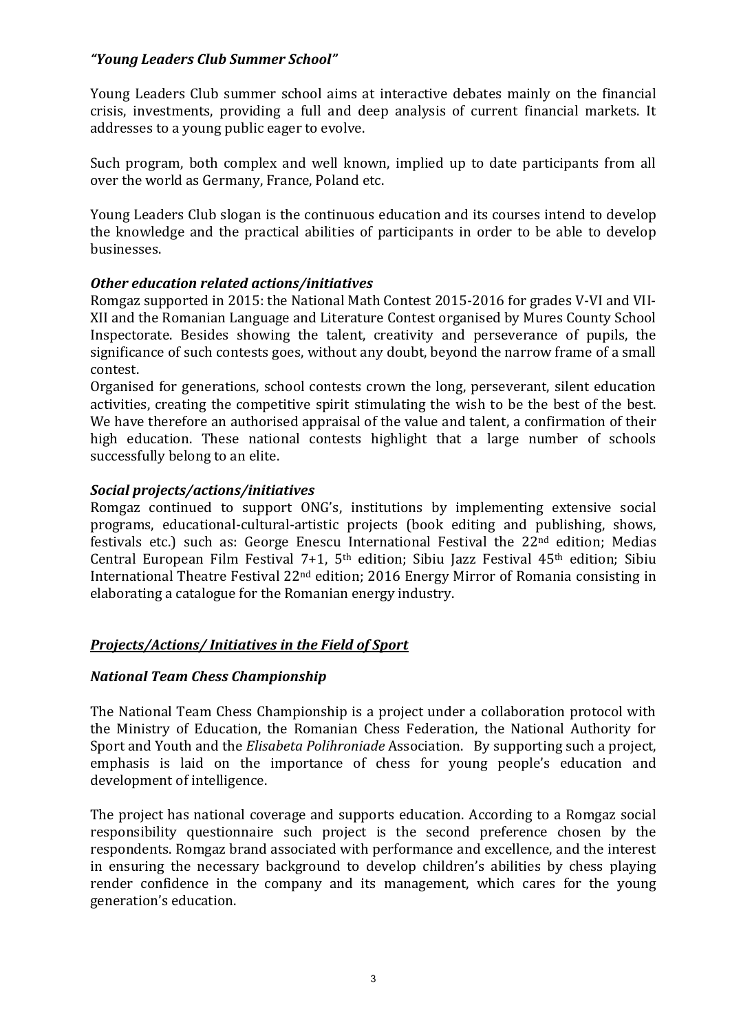# *"Young Leaders Club Summer School"*

Young Leaders Club summer school aims at interactive debates mainly on the financial crisis, investments, providing a full and deep analysis of current financial markets. It addresses to a young public eager to evolve.

Such program, both complex and well known, implied up to date participants from all over the world as Germany, France, Poland etc.

Young Leaders Club slogan is the continuous education and its courses intend to develop the knowledge and the practical abilities of participants in order to be able to develop businesses.

# *Other education related actions/initiatives*

Romgaz supported in 2015: the National Math Contest 2015-2016 for grades V-VI and VII-XII and the Romanian Language and Literature Contest organised by Mures County School Inspectorate. Besides showing the talent, creativity and perseverance of pupils, the significance of such contests goes, without any doubt, beyond the narrow frame of a small contest.

Organised for generations, school contests crown the long, perseverant, silent education activities, creating the competitive spirit stimulating the wish to be the best of the best. We have therefore an authorised appraisal of the value and talent, a confirmation of their high education. These national contests highlight that a large number of schools successfully belong to an elite.

# *Social projects/actions/initiatives*

Romgaz continued to support ONG's, institutions by implementing extensive social programs, educational-cultural-artistic projects (book editing and publishing, shows, festivals etc.) such as: George Enescu International Festival the 22nd edition; Medias Central European Film Festival 7+1, 5th edition; Sibiu Jazz Festival 45th edition; Sibiu International Theatre Festival 22nd edition; 2016 Energy Mirror of Romania consisting in elaborating a catalogue for the Romanian energy industry.

#### *Projects/Actions/ Initiatives in the Field of Sport*

#### *National Team Chess Championship*

The National Team Chess Championship is a project under a collaboration protocol with the Ministry of Education, the Romanian Chess Federation, the National Authority for Sport and Youth and the *Elisabeta Polihroniade* Association. By supporting such a project, emphasis is laid on the importance of chess for young people's education and development of intelligence.

The project has national coverage and supports education. According to a Romgaz social responsibility questionnaire such project is the second preference chosen by the respondents. Romgaz brand associated with performance and excellence, and the interest in ensuring the necessary background to develop children's abilities by chess playing render confidence in the company and its management, which cares for the young generation's education.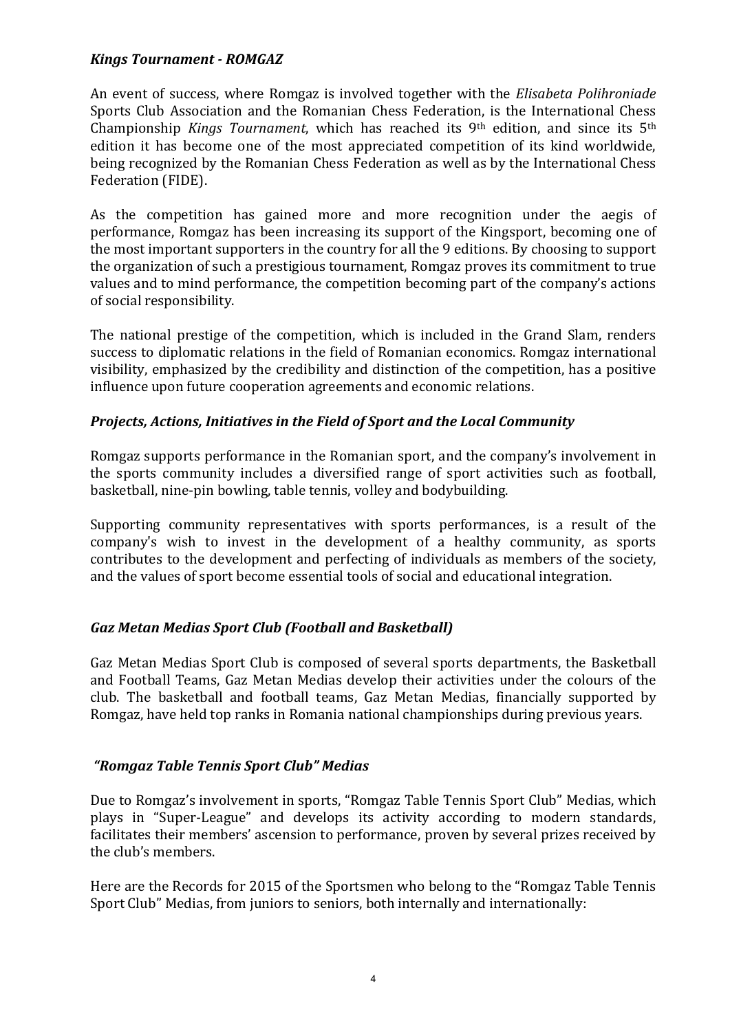#### *Kings Tournament - ROMGAZ*

An event of success, where Romgaz is involved together with the *Elisabeta Polihroniade* Sports Club Association and the Romanian Chess Federation, is the International Chess Championship *Kings Tournament*, which has reached its 9th edition, and since its 5th edition it has become one of the most appreciated competition of its kind worldwide, being recognized by the Romanian Chess Federation as well as by the International Chess Federation (FIDE).

As the competition has gained more and more recognition under the aegis of performance, Romgaz has been increasing its support of the Kingsport, becoming one of the most important supporters in the country for all the 9 editions. By choosing to support the organization of such a prestigious tournament, Romgaz proves its commitment to true values and to mind performance, the competition becoming part of the company's actions of social responsibility.

The national prestige of the competition, which is included in the Grand Slam, renders success to diplomatic relations in the field of Romanian economics. Romgaz international visibility, emphasized by the credibility and distinction of the competition, has a positive influence upon future cooperation agreements and economic relations.

# *Projects, Actions, Initiatives in the Field of Sport and the Local Community*

Romgaz supports performance in the Romanian sport, and the company's involvement in the sports community includes a diversified range of sport activities such as football, basketball, nine-pin bowling, table tennis, volley and bodybuilding.

Supporting community representatives with sports performances, is a result of the company's wish to invest in the development of a healthy community, as sports contributes to the development and perfecting of individuals as members of the society, and the values of sport become essential tools of social and educational integration.

# *Gaz Metan Medias Sport Club (Football and Basketball)*

Gaz Metan Medias Sport Club is composed of several sports departments, the Basketball and Football Teams, Gaz Metan Medias develop their activities under the colours of the club. The basketball and football teams, Gaz Metan Medias, financially supported by Romgaz, have held top ranks in Romania national championships during previous years.

#### *"Romgaz Table Tennis Sport Club" Medias*

Due to Romgaz's involvement in sports, "Romgaz Table Tennis Sport Club" Medias, which plays in "Super-League" and develops its activity according to modern standards, facilitates their members' ascension to performance, proven by several prizes received by the club's members.

Here are the Records for 2015 of the Sportsmen who belong to the "Romgaz Table Tennis Sport Club" Medias, from juniors to seniors, both internally and internationally: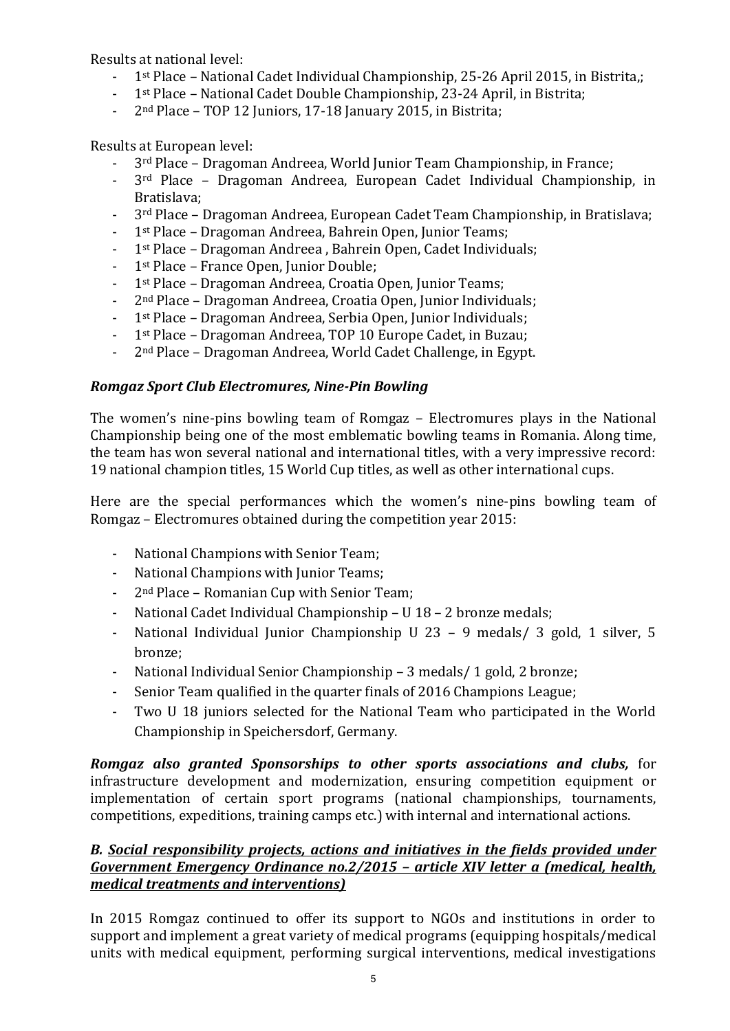Results at national level:

- 1st Place National Cadet Individual Championship, 25-26 April 2015, in Bistrita,;
- 1<sup>st</sup> Place National Cadet Double Championship, 23-24 April, in Bistrita;
- 2<sup>nd</sup> Place TOP 12 Juniors, 17-18 January 2015, in Bistrita;

Results at European level:

- 3rd Place Dragoman Andreea, World Junior Team Championship, in France;
- 3rd Place Dragoman Andreea, European Cadet Individual Championship, in Bratislava;
- 3rd Place Dragoman Andreea, European Cadet Team Championship, in Bratislava;
- 1<sup>st</sup> Place Dragoman Andreea, Bahrein Open, Junior Teams;
- 1st Place Dragoman Andreea , Bahrein Open, Cadet Individuals;
- 1st Place France Open, Junior Double;
- 1st Place Dragoman Andreea, Croatia Open, Junior Teams;
- 2nd Place Dragoman Andreea, Croatia Open, Junior Individuals;
- 1st Place Dragoman Andreea, Serbia Open, Junior Individuals;
- 1<sup>st</sup> Place Dragoman Andreea, TOP 10 Europe Cadet, in Buzau;
- 2nd Place Dragoman Andreea, World Cadet Challenge, in Egypt.

# *Romgaz Sport Club Electromures, Nine-Pin Bowling*

The women's nine-pins bowling team of Romgaz – Electromures plays in the National Championship being one of the most emblematic bowling teams in Romania. Along time, the team has won several national and international titles, with a very impressive record: 19 national champion titles, 15 World Cup titles, as well as other international cups.

Here are the special performances which the women's nine-pins bowling team of Romgaz – Electromures obtained during the competition year 2015:

- National Champions with Senior Team;
- National Champions with Junior Teams;
- 2nd Place Romanian Cup with Senior Team;
- National Cadet Individual Championship U 18 2 bronze medals;
- National Individual Junior Championship U 23 9 medals/ 3 gold, 1 silver, 5 bronze;
- National Individual Senior Championship 3 medals/ 1 gold, 2 bronze;
- Senior Team qualified in the quarter finals of 2016 Champions League;
- Two U 18 juniors selected for the National Team who participated in the World Championship in Speichersdorf, Germany.

*Romgaz also granted Sponsorships to other sports associations and clubs,* for infrastructure development and modernization, ensuring competition equipment or implementation of certain sport programs (national championships, tournaments, competitions, expeditions, training camps etc.) with internal and international actions.

# *B. Social responsibility projects, actions and initiatives in the fields provided under Government Emergency Ordinance no.2/2015 – article XIV letter a (medical, health, medical treatments and interventions)*

In 2015 Romgaz continued to offer its support to NGOs and institutions in order to support and implement a great variety of medical programs (equipping hospitals/medical units with medical equipment, performing surgical interventions, medical investigations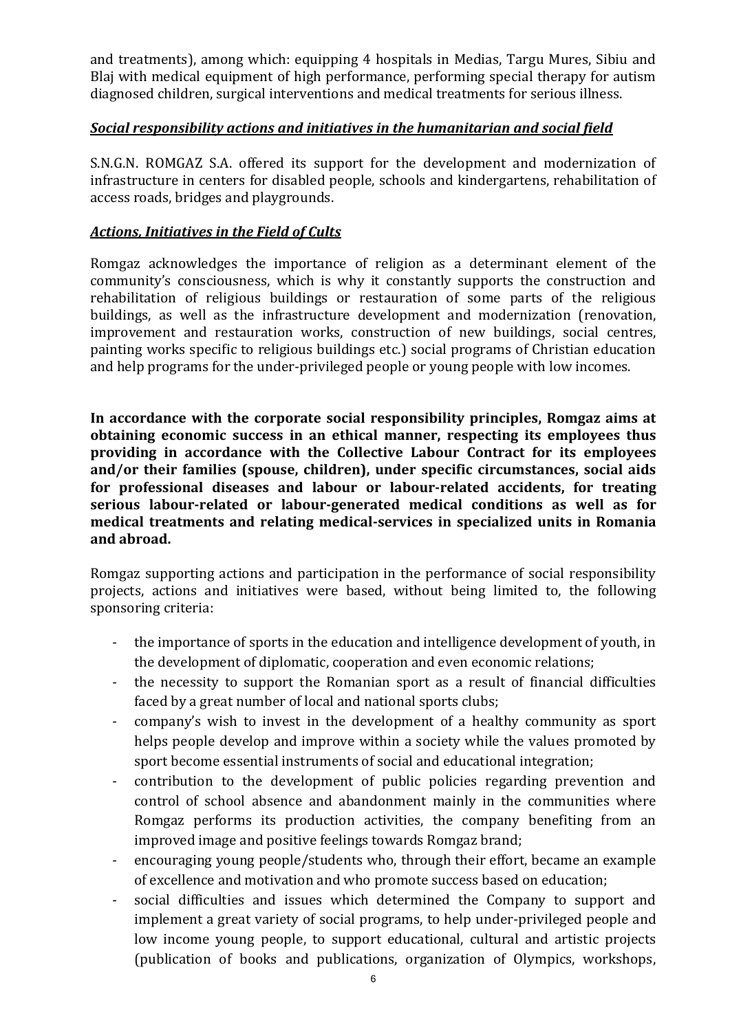and treatments), among which: equipping 4 hospitals in Medias, Targu Mures, Sibiu and Blaj with medical equipment of high performance, performing special therapy for autism diagnosed children, surgical interventions and medical treatments for serious illness.

#### *Social responsibility actions and initiatives in the humanitarian and social field*

S.N.G.N. ROMGAZ S.A. offered its support for the development and modernization of infrastructure in centers for disabled people, schools and kindergartens, rehabilitation of access roads, bridges and playgrounds.

## *Actions, Initiatives in the Field of Cults*

Romgaz acknowledges the importance of religion as a determinant element of the community's consciousness, which is why it constantly supports the construction and rehabilitation of religious buildings or restauration of some parts of the religious buildings, as well as the infrastructure development and modernization (renovation, improvement and restauration works, construction of new buildings, social centres, painting works specific to religious buildings etc.) social programs of Christian education and help programs for the under-privileged people or young people with low incomes.

**In accordance with the corporate social responsibility principles, Romgaz aims at obtaining economic success in an ethical manner, respecting its employees thus providing in accordance with the Collective Labour Contract for its employees and/or their families (spouse, children), under specific circumstances, social aids for professional diseases and labour or labour-related accidents, for treating serious labour-related or labour-generated medical conditions as well as for medical treatments and relating medical-services in specialized units in Romania and abroad.** 

Romgaz supporting actions and participation in the performance of social responsibility projects, actions and initiatives were based, without being limited to, the following sponsoring criteria:

- the importance of sports in the education and intelligence development of youth, in the development of diplomatic, cooperation and even economic relations;
- the necessity to support the Romanian sport as a result of financial difficulties faced by a great number of local and national sports clubs;
- company's wish to invest in the development of a healthy community as sport helps people develop and improve within a society while the values promoted by sport become essential instruments of social and educational integration;
- contribution to the development of public policies regarding prevention and control of school absence and abandonment mainly in the communities where Romgaz performs its production activities, the company benefiting from an improved image and positive feelings towards Romgaz brand;
- encouraging young people/students who, through their effort, became an example of excellence and motivation and who promote success based on education;
- social difficulties and issues which determined the Company to support and implement a great variety of social programs, to help under-privileged people and low income young people, to support educational, cultural and artistic projects (publication of books and publications, organization of Olympics, workshops,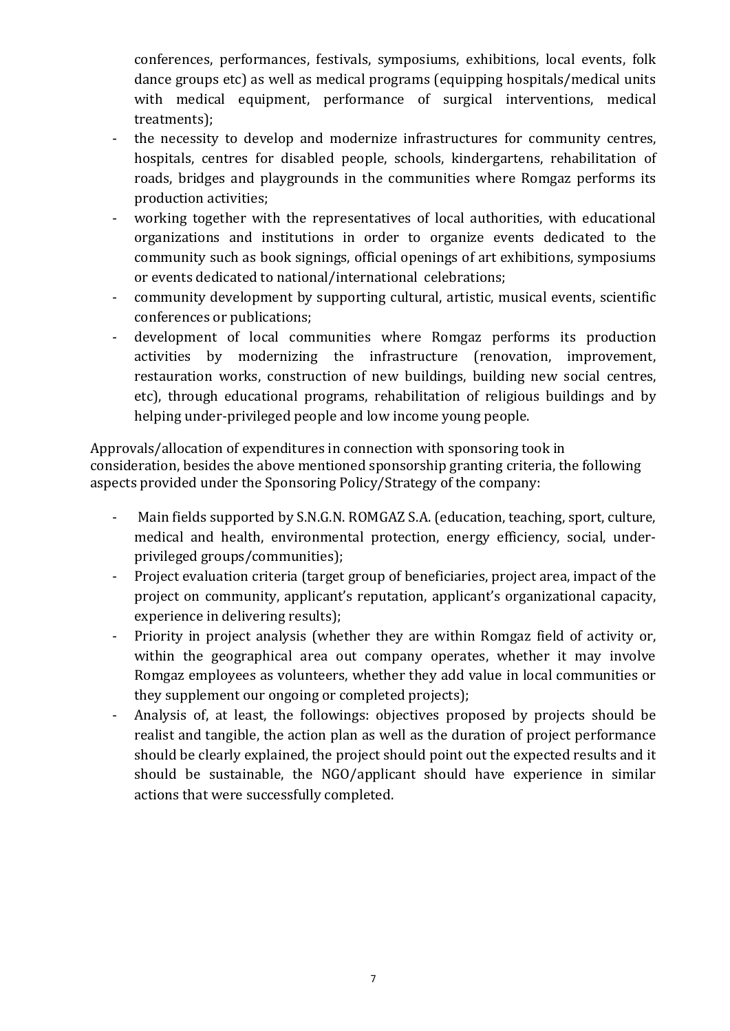conferences, performances, festivals, symposiums, exhibitions, local events, folk dance groups etc) as well as medical programs (equipping hospitals/medical units with medical equipment, performance of surgical interventions, medical treatments);

- the necessity to develop and modernize infrastructures for community centres, hospitals, centres for disabled people, schools, kindergartens, rehabilitation of roads, bridges and playgrounds in the communities where Romgaz performs its production activities;
- working together with the representatives of local authorities, with educational organizations and institutions in order to organize events dedicated to the community such as book signings, official openings of art exhibitions, symposiums or events dedicated to national/international celebrations;
- community development by supporting cultural, artistic, musical events, scientific conferences or publications;
- development of local communities where Romgaz performs its production activities by modernizing the infrastructure (renovation, improvement, restauration works, construction of new buildings, building new social centres, etc), through educational programs, rehabilitation of religious buildings and by helping under-privileged people and low income young people.

Approvals/allocation of expenditures in connection with sponsoring took in consideration, besides the above mentioned sponsorship granting criteria, the following aspects provided under the Sponsoring Policy/Strategy of the company:

- Main fields supported by S.N.G.N. ROMGAZ S.A. (education, teaching, sport, culture, medical and health, environmental protection, energy efficiency, social, underprivileged groups/communities);
- Project evaluation criteria (target group of beneficiaries, project area, impact of the project on community, applicant's reputation, applicant's organizational capacity, experience in delivering results);
- Priority in project analysis (whether they are within Romgaz field of activity or, within the geographical area out company operates, whether it may involve Romgaz employees as volunteers, whether they add value in local communities or they supplement our ongoing or completed projects);
- Analysis of, at least, the followings: objectives proposed by projects should be realist and tangible, the action plan as well as the duration of project performance should be clearly explained, the project should point out the expected results and it should be sustainable, the NGO/applicant should have experience in similar actions that were successfully completed.